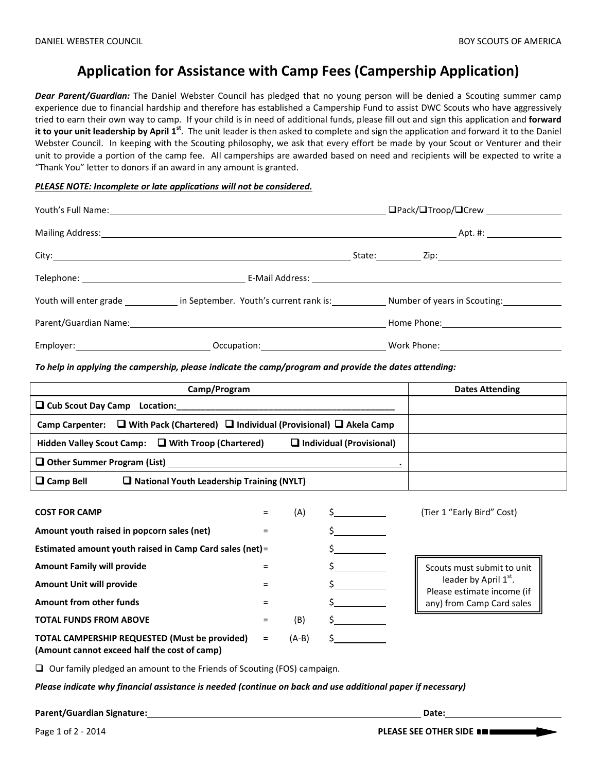# **Application for Assistance with Camp Fees (Campership Application)**

*Dear Parent/Guardian:* The Daniel Webster Council has pledged that no young person will be denied a Scouting summer camp experience due to financial hardship and therefore has established a Campership Fund to assist DWC Scouts who have aggressively tried to earn their own way to camp. If your child is in need of additional funds, please fill out and sign this application and **forward it to your unit leadership by April 1<sup>st</sup>**. The unit leader is then asked to complete and sign the application and forward it to the Daniel Webster Council. In keeping with the Scouting philosophy, we ask that every effort be made by your Scout or Venturer and their unit to provide a portion of the camp fee. All camperships are awarded based on need and recipients will be expected to write a "Thank You" letter to donors if an award in any amount is granted.

### *PLEASE NOTE: Incomplete or late applications will not be considered.*

| Youth's Full Name: North American Control of the Control of the Control of the Control of the Control of the Control of the Control of the Control of the Control of the Control of the Control of the Control of the Control |          |         |                                                                        | $\Box$ Pack/ $\Box$ Troop/ $\Box$ Crew                          |
|-------------------------------------------------------------------------------------------------------------------------------------------------------------------------------------------------------------------------------|----------|---------|------------------------------------------------------------------------|-----------------------------------------------------------------|
|                                                                                                                                                                                                                               |          |         |                                                                        |                                                                 |
|                                                                                                                                                                                                                               |          |         |                                                                        |                                                                 |
|                                                                                                                                                                                                                               |          |         |                                                                        |                                                                 |
| Youth will enter grade ____________ in September. Youth's current rank is: _____________ Number of years in Scouting: _____________                                                                                           |          |         |                                                                        |                                                                 |
|                                                                                                                                                                                                                               |          |         |                                                                        |                                                                 |
|                                                                                                                                                                                                                               |          |         |                                                                        |                                                                 |
| To help in applying the campership, please indicate the camp/program and provide the dates attending:                                                                                                                         |          |         |                                                                        |                                                                 |
| Camp/Program                                                                                                                                                                                                                  |          |         |                                                                        | <b>Dates Attending</b>                                          |
|                                                                                                                                                                                                                               |          |         |                                                                        |                                                                 |
| Camp Carpenter: $\Box$ With Pack (Chartered) $\Box$ Individual (Provisional) $\Box$ Akela Camp                                                                                                                                |          |         |                                                                        |                                                                 |
| Hidden Valley Scout Camp: $\Box$ With Troop (Chartered)<br>$\Box$ Individual (Provisional)                                                                                                                                    |          |         |                                                                        |                                                                 |
|                                                                                                                                                                                                                               |          |         |                                                                        |                                                                 |
| $\Box$ Camp Bell<br>$\Box$ National Youth Leadership Training (NYLT)                                                                                                                                                          |          |         |                                                                        |                                                                 |
| <b>COST FOR CAMP</b>                                                                                                                                                                                                          | $\equiv$ | (A)     | $\zeta$                                                                | (Tier 1 "Early Bird" Cost)                                      |
| Amount youth raised in popcorn sales (net)                                                                                                                                                                                    | $\equiv$ |         | $\frac{1}{2}$                                                          |                                                                 |
| $\frac{1}{2}$<br>Estimated amount youth raised in Camp Card sales (net)=                                                                                                                                                      |          |         |                                                                        |                                                                 |
| <b>Amount Family will provide</b>                                                                                                                                                                                             | $=$      |         | $\sharp$                                                               | Scouts must submit to unit                                      |
| <b>Amount Unit will provide</b>                                                                                                                                                                                               | $=$      |         | $\frac{1}{2}$                                                          | leader by April 1 <sup>st</sup> .<br>Please estimate income (if |
| Amount from other funds                                                                                                                                                                                                       | $=$      |         | $\frac{\zeta_{\frac{1}{2}}}{\zeta_{\frac{1}{2}}}{\zeta_{\frac{1}{2}}}$ | any) from Camp Card sales                                       |
| <b>TOTAL FUNDS FROM ABOVE</b>                                                                                                                                                                                                 | $\equiv$ | (B)     | $\sharp$                                                               |                                                                 |
| <b>TOTAL CAMPERSHIP REQUESTED (Must be provided)</b><br>(Amount cannot exceed half the cost of camp)                                                                                                                          | $=$      | $(A-B)$ | $\sharp$                                                               |                                                                 |
| $\Box$ Our family pledged an amount to the Friends of Scouting (FOS) campaign.                                                                                                                                                |          |         |                                                                        |                                                                 |

*Please indicate why financial assistance is needed (continue on back and use additional paper if necessary)*

**Parent/Guardian Signature: Date: Date: Date: Date: Date: Date: Date: Date: Date: Date: Date: Date: Date: Date: Date: Date: Date: Date: Date: Date: Date: Date: Date: Date:**